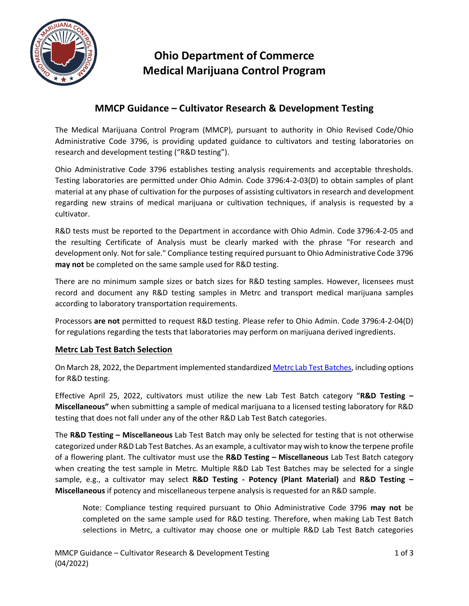

## **Ohio Department of Commerce Medical Marijuana Control Program**

### **MMCP Guidance – Cultivator Research & Development Testing**

The Medical Marijuana Control Program (MMCP), pursuant to authority in Ohio Revised Code/Ohio Administrative Code 3796, is providing updated guidance to cultivators and testing laboratories on research and development testing ("R&D testing").

Ohio Administrative Code 3796 establishes testing analysis requirements and acceptable thresholds. Testing laboratories are permitted under Ohio Admin. Code 3796:4-2-03(D) to obtain samples of plant material at any phase of cultivation for the purposes of assisting cultivators in research and development regarding new strains of medical marijuana or cultivation techniques, if analysis is requested by a cultivator.

R&D tests must be reported to the Department in accordance with Ohio Admin. Code 3796:4-2-05 and the resulting Certificate of Analysis must be clearly marked with the phrase "For research and development only. Not for sale." Compliance testing required pursuant to Ohio Administrative Code 3796 **may not** be completed on the same sample used for R&D testing.

There are no minimum sample sizes or batch sizes for R&D testing samples. However, licensees must record and document any R&D testing samples in Metrc and transport medical marijuana samples according to laboratory transportation requirements.

Processors **are not** permitted to request R&D testing. Please refer to Ohio Admin. Code 3796:4-2-04(D) for regulations regarding the tests that laboratories may perform on marijuana derived ingredients.

#### **Metrc Lab Test Batch Selection**

On March 28, 2022, the Department implemented standardized Metrc [Lab Test Batches,](https://com.ohio.gov/divisions-and-programs/medical-marijuana-control-program/licensee-resources/guidance/lab-test-batch-guidance) including options for R&D testing.

Effective April 25, 2022, cultivators must utilize the new Lab Test Batch category "**R&D Testing – Miscellaneous"** when submitting a sample of medical marijuana to a licensed testing laboratory for R&D testing that does not fall under any of the other R&D Lab Test Batch categories.

The **R&D Testing – Miscellaneous** Lab Test Batch may only be selected for testing that is not otherwise categorized under R&D Lab Test Batches. As an example, a cultivator may wish to know the terpene profile of a flowering plant. The cultivator must use the **R&D Testing – Miscellaneous** Lab Test Batch category when creating the test sample in Metrc. Multiple R&D Lab Test Batches may be selected for a single sample, e.g., a cultivator may select **R&D Testing - Potency (Plant Material)** and **R&D Testing – Miscellaneous** if potency and miscellaneous terpene analysis is requested for an R&D sample.

Note: Compliance testing required pursuant to Ohio Administrative Code 3796 **may not** be completed on the same sample used for R&D testing. Therefore, when making Lab Test Batch selections in Metrc, a cultivator may choose one or multiple R&D Lab Test Batch categories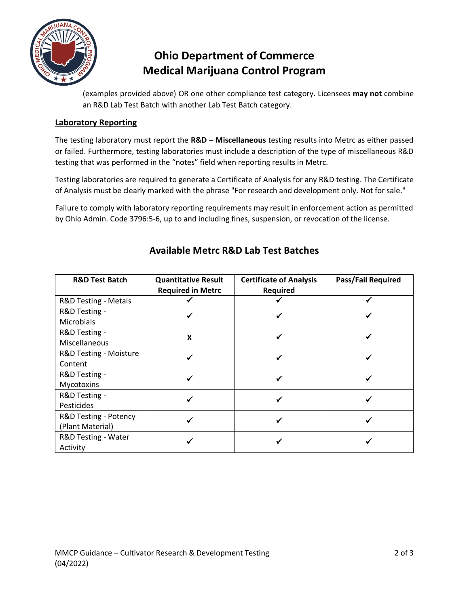

# **Ohio Department of Commerce Medical Marijuana Control Program**

(examples provided above) OR one other compliance test category. Licensees **may not** combine an R&D Lab Test Batch with another Lab Test Batch category.

### **Laboratory Reporting**

The testing laboratory must report the **R&D – Miscellaneous** testing results into Metrc as either passed or failed. Furthermore, testing laboratories must include a description of the type of miscellaneous R&D testing that was performed in the "notes" field when reporting results in Metrc.

Testing laboratories are required to generate a Certificate of Analysis for any R&D testing. The Certificate of Analysis must be clearly marked with the phrase "For research and development only. Not for sale."

Failure to comply with laboratory reporting requirements may result in enforcement action as permitted by Ohio Admin. Code 3796:5-6, up to and including fines, suspension, or revocation of the license.

| <b>R&amp;D Test Batch</b>                 | <b>Quantitative Result</b><br><b>Required in Metrc</b> | <b>Certificate of Analysis</b><br>Required | <b>Pass/Fail Required</b> |
|-------------------------------------------|--------------------------------------------------------|--------------------------------------------|---------------------------|
| R&D Testing - Metals                      |                                                        |                                            |                           |
| R&D Testing -<br><b>Microbials</b>        |                                                        |                                            |                           |
| R&D Testing -<br>Miscellaneous            | X                                                      |                                            |                           |
| R&D Testing - Moisture<br>Content         |                                                        |                                            |                           |
| R&D Testing -<br>Mycotoxins               |                                                        |                                            |                           |
| R&D Testing -<br>Pesticides               |                                                        |                                            |                           |
| R&D Testing - Potency<br>(Plant Material) |                                                        |                                            |                           |
| R&D Testing - Water<br>Activity           |                                                        |                                            |                           |

### **Available Metrc R&D Lab Test Batches**